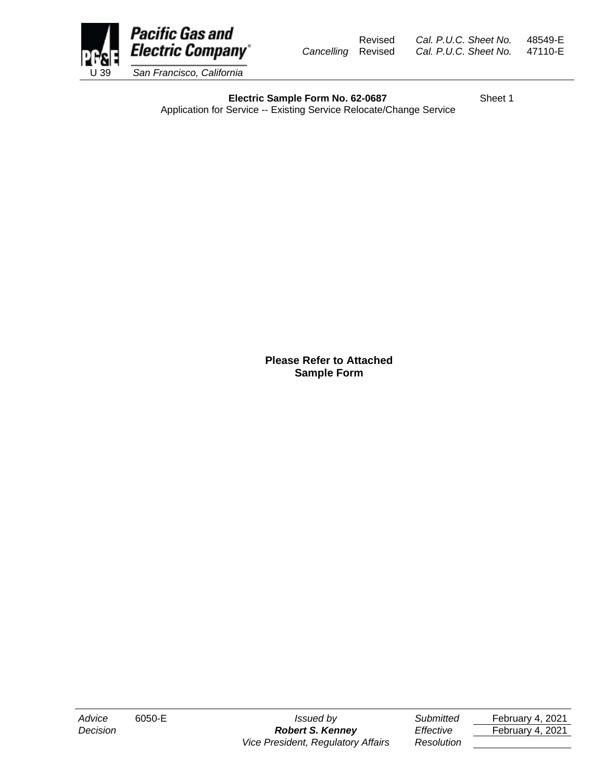

Revised *Cal. P.U.C. Sheet No.* 48549-E *Cancelling* Revised *Cal. P.U.C. Sheet No.* 47110-E

**Electric Sample Form No. 62-0687** Sheet 1

Application for Service -- Existing Service Relocate/Change Service

**Please Refer to Attached Sample Form** 

*Decision Robert S. Kenney Effective* February 4, 2021 *Vice President, Regulatory Affairs Resolution* 

*Advice* 6050-E *Issued by Submitted* February 4, 2021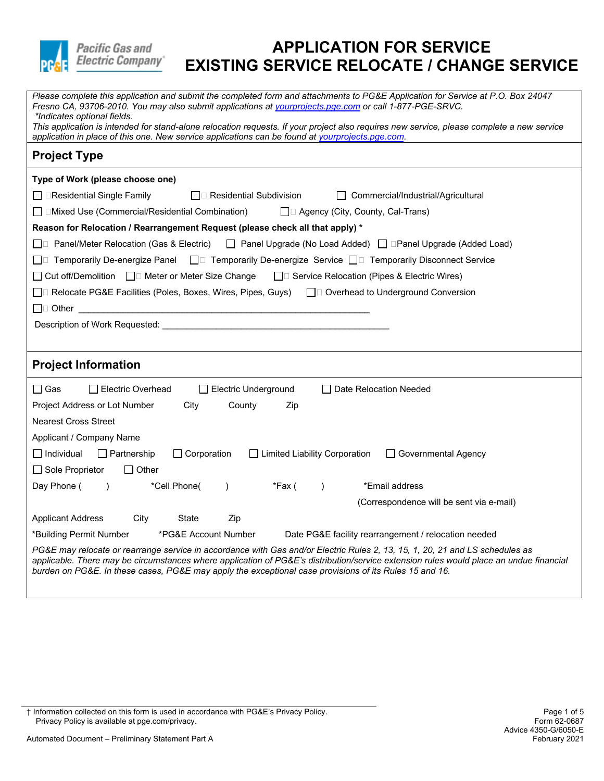

| Fresno CA, 93706-2010. You may also submit applications at vourprojects.pge.com or call 1-877-PGE-SRVC.<br>*Indicates optional fields.                                                                                                         |
|------------------------------------------------------------------------------------------------------------------------------------------------------------------------------------------------------------------------------------------------|
| This application is intended for stand-alone relocation requests. If your project also requires new service, please complete a new service<br>application in place of this one. New service applications can be found at yourprojects.pge.com. |
| <b>Project Type</b>                                                                                                                                                                                                                            |
| Type of Work (please choose one)                                                                                                                                                                                                               |
| $\Box$ $\Box$ Residential Single Family<br>$\bigsqcup$ Residential Subdivision<br>Commercial/Industrial/Agricultural                                                                                                                           |
| $\Box$ Mixed Use (Commercial/Residential Combination)<br>$\Box$ Agency (City, County, Cal-Trans)                                                                                                                                               |
| Reason for Relocation / Rearrangement Request (please check all that apply) *                                                                                                                                                                  |
| □ Panel/Meter Relocation (Gas & Electric) □ Panel Upgrade (No Load Added) □ □ Panel Upgrade (Added Load)                                                                                                                                       |
| □ Temporarily De-energize Panel □ Temporarily De-energize Service □ Temporarily Disconnect Service                                                                                                                                             |
| □ Cut off/Demolition □ Meter or Meter Size Change<br>$\Box$ Service Relocation (Pipes & Electric Wires)                                                                                                                                        |
| □ Relocate PG&E Facilities (Poles, Boxes, Wires, Pipes, Guys) □ Overhead to Underground Conversion                                                                                                                                             |
| <u> 1980 - John Stein, Amerikaansk politiker (</u>                                                                                                                                                                                             |
|                                                                                                                                                                                                                                                |
|                                                                                                                                                                                                                                                |
| <b>Project Information</b>                                                                                                                                                                                                                     |
|                                                                                                                                                                                                                                                |
| ∏ Gas<br>Electric Overhead<br>Electric Underground<br>□ Date Relocation Needed                                                                                                                                                                 |
| Project Address or Lot Number<br>City<br>County<br>Zip                                                                                                                                                                                         |
| <b>Nearest Cross Street</b>                                                                                                                                                                                                                    |
| Applicant / Company Name                                                                                                                                                                                                                       |
| $\Box$ Individual<br>$\Box$ Partnership<br>$\Box$ Corporation<br>$\Box$ Limited Liability Corporation<br>□ Governmental Agency                                                                                                                 |
| $\Box$ Sole Proprietor<br>$\Box$ Other                                                                                                                                                                                                         |
| Day Phone (<br>*Cell Phone(<br>*Fax (<br>*Email address<br>$\rightarrow$<br>$\lambda$<br>$\lambda$                                                                                                                                             |
| (Correspondence will be sent via e-mail)                                                                                                                                                                                                       |
| <b>Applicant Address</b><br>City<br>State<br>Zip                                                                                                                                                                                               |
| *Building Permit Number<br>*PG&E Account Number<br>Date PG&E facility rearrangement / relocation needed                                                                                                                                        |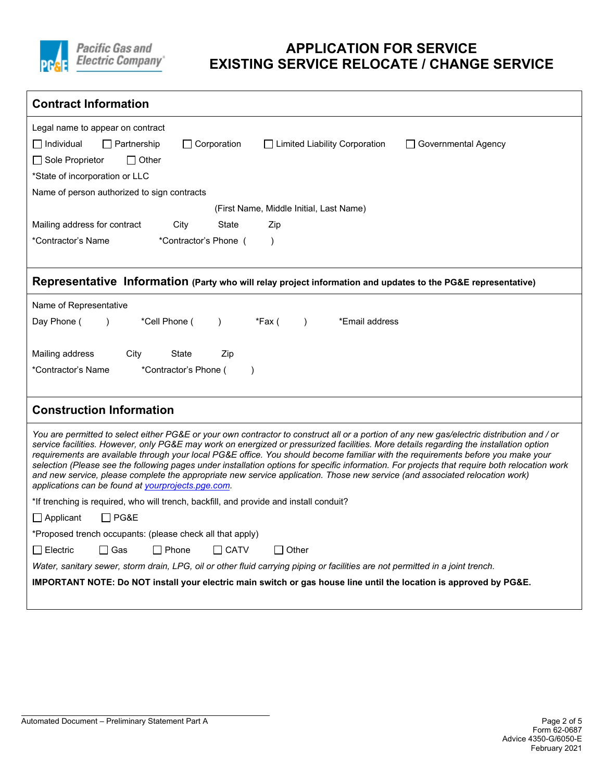

| <b>Contract Information</b>                                                                                                                                                                                                                                                                                                                                                                                                                                                                                                                                                                                                                                                                                                                                     |
|-----------------------------------------------------------------------------------------------------------------------------------------------------------------------------------------------------------------------------------------------------------------------------------------------------------------------------------------------------------------------------------------------------------------------------------------------------------------------------------------------------------------------------------------------------------------------------------------------------------------------------------------------------------------------------------------------------------------------------------------------------------------|
| Legal name to appear on contract                                                                                                                                                                                                                                                                                                                                                                                                                                                                                                                                                                                                                                                                                                                                |
| $\Box$ Individual<br>$\Box$ Partnership<br>$\Box$ Corporation<br>□ Limited Liability Corporation<br><b>Governmental Agency</b>                                                                                                                                                                                                                                                                                                                                                                                                                                                                                                                                                                                                                                  |
| □ Sole Proprietor<br>$\Box$ Other                                                                                                                                                                                                                                                                                                                                                                                                                                                                                                                                                                                                                                                                                                                               |
| *State of incorporation or LLC                                                                                                                                                                                                                                                                                                                                                                                                                                                                                                                                                                                                                                                                                                                                  |
| Name of person authorized to sign contracts                                                                                                                                                                                                                                                                                                                                                                                                                                                                                                                                                                                                                                                                                                                     |
| (First Name, Middle Initial, Last Name)                                                                                                                                                                                                                                                                                                                                                                                                                                                                                                                                                                                                                                                                                                                         |
| Mailing address for contract<br>City<br><b>State</b><br>Zip                                                                                                                                                                                                                                                                                                                                                                                                                                                                                                                                                                                                                                                                                                     |
| *Contractor's Name<br>*Contractor's Phone (<br>$\lambda$                                                                                                                                                                                                                                                                                                                                                                                                                                                                                                                                                                                                                                                                                                        |
|                                                                                                                                                                                                                                                                                                                                                                                                                                                                                                                                                                                                                                                                                                                                                                 |
| Representative Information (Party who will relay project information and updates to the PG&E representative)                                                                                                                                                                                                                                                                                                                                                                                                                                                                                                                                                                                                                                                    |
| Name of Representative                                                                                                                                                                                                                                                                                                                                                                                                                                                                                                                                                                                                                                                                                                                                          |
| Day Phone (<br>*Cell Phone (<br>*Fax (<br>*Email address<br>$\lambda$<br>$\lambda$<br>$\lambda$                                                                                                                                                                                                                                                                                                                                                                                                                                                                                                                                                                                                                                                                 |
|                                                                                                                                                                                                                                                                                                                                                                                                                                                                                                                                                                                                                                                                                                                                                                 |
| Mailing address<br>City<br>State<br>Zip                                                                                                                                                                                                                                                                                                                                                                                                                                                                                                                                                                                                                                                                                                                         |
| *Contractor's Name<br>*Contractor's Phone (<br>$\lambda$                                                                                                                                                                                                                                                                                                                                                                                                                                                                                                                                                                                                                                                                                                        |
|                                                                                                                                                                                                                                                                                                                                                                                                                                                                                                                                                                                                                                                                                                                                                                 |
| <b>Construction Information</b>                                                                                                                                                                                                                                                                                                                                                                                                                                                                                                                                                                                                                                                                                                                                 |
| You are permitted to select either PG&E or your own contractor to construct all or a portion of any new gas/electric distribution and / or<br>service facilities. However, only PG&E may work on energized or pressurized facilities. More details regarding the installation option<br>requirements are available through your local PG&E office. You should become familiar with the requirements before you make your<br>selection (Please see the following pages under installation options for specific information. For projects that require both relocation work<br>and new service, please complete the appropriate new service application. Those new service (and associated relocation work)<br>applications can be found at yourprojects.pge.com. |
| *If trenching is required, who will trench, backfill, and provide and install conduit?                                                                                                                                                                                                                                                                                                                                                                                                                                                                                                                                                                                                                                                                          |
| $\Box$ PG&E<br>$\Box$ Applicant                                                                                                                                                                                                                                                                                                                                                                                                                                                                                                                                                                                                                                                                                                                                 |
| *Proposed trench occupants: (please check all that apply)                                                                                                                                                                                                                                                                                                                                                                                                                                                                                                                                                                                                                                                                                                       |
| $\Box$ Phone<br>$\Box$ Other<br><b>□ Electric</b><br>l Gas<br>$\Box$ CATV                                                                                                                                                                                                                                                                                                                                                                                                                                                                                                                                                                                                                                                                                       |
| Water, sanitary sewer, storm drain, LPG, oil or other fluid carrying piping or facilities are not permitted in a joint trench.                                                                                                                                                                                                                                                                                                                                                                                                                                                                                                                                                                                                                                  |
| IMPORTANT NOTE: Do NOT install your electric main switch or gas house line until the location is approved by PG&E.                                                                                                                                                                                                                                                                                                                                                                                                                                                                                                                                                                                                                                              |
|                                                                                                                                                                                                                                                                                                                                                                                                                                                                                                                                                                                                                                                                                                                                                                 |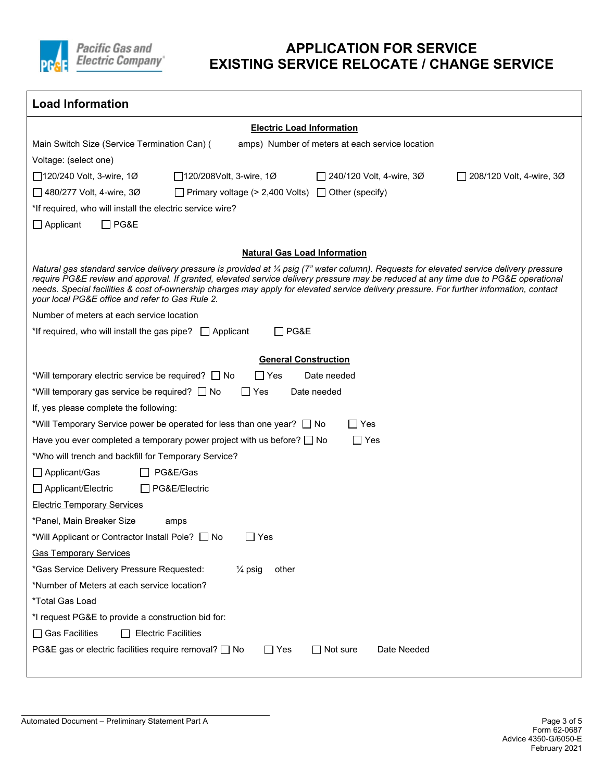

| <b>Load Information</b>                                                                                                                                                                                                                                                                                                                                                                                                                                                       |
|-------------------------------------------------------------------------------------------------------------------------------------------------------------------------------------------------------------------------------------------------------------------------------------------------------------------------------------------------------------------------------------------------------------------------------------------------------------------------------|
| <b>Electric Load Information</b>                                                                                                                                                                                                                                                                                                                                                                                                                                              |
| Main Switch Size (Service Termination Can) (<br>amps) Number of meters at each service location                                                                                                                                                                                                                                                                                                                                                                               |
| Voltage: (select one)                                                                                                                                                                                                                                                                                                                                                                                                                                                         |
| $\Box$ 120/240 Volt, 3-wire, 1Ø<br>□ 120/208Volt, 3-wire, 1Ø<br>240/120 Volt, 4-wire, 3Ø<br>□ 208/120 Volt, 4-wire, 3Ø                                                                                                                                                                                                                                                                                                                                                        |
| $\Box$ 480/277 Volt, 4-wire, 30<br>$\Box$ Primary voltage (> 2,400 Volts) $\Box$ Other (specify)                                                                                                                                                                                                                                                                                                                                                                              |
| *If required, who will install the electric service wire?                                                                                                                                                                                                                                                                                                                                                                                                                     |
| $\Box$ Applicant<br>$\Box$ PG&E                                                                                                                                                                                                                                                                                                                                                                                                                                               |
| <b>Natural Gas Load Information</b>                                                                                                                                                                                                                                                                                                                                                                                                                                           |
| Natural gas standard service delivery pressure is provided at ¼ psig (7" water column). Requests for elevated service delivery pressure<br>require PG&E review and approval. If granted, elevated service delivery pressure may be reduced at any time due to PG&E operational<br>needs. Special facilities & cost of-ownership charges may apply for elevated service delivery pressure. For further information, contact<br>your local PG&E office and refer to Gas Rule 2. |
| Number of meters at each service location                                                                                                                                                                                                                                                                                                                                                                                                                                     |
| PG&E<br>*If required, who will install the gas pipe? $\Box$ Applicant                                                                                                                                                                                                                                                                                                                                                                                                         |
|                                                                                                                                                                                                                                                                                                                                                                                                                                                                               |
| <b>General Construction</b><br>Date needed                                                                                                                                                                                                                                                                                                                                                                                                                                    |
| *Will temporary electric service be required? □ No<br>$\Box$ Yes<br>Yes<br>Date needed                                                                                                                                                                                                                                                                                                                                                                                        |
| *Will temporary gas service be required? □ No<br>$\mathbf{I}$<br>If, yes please complete the following:                                                                                                                                                                                                                                                                                                                                                                       |
| *Will Temporary Service power be operated for less than one year? $\Box$ No<br>l IYes                                                                                                                                                                                                                                                                                                                                                                                         |
| $\Box$ Yes<br>Have you ever completed a temporary power project with us before? $\Box$ No                                                                                                                                                                                                                                                                                                                                                                                     |
| *Who will trench and backfill for Temporary Service?                                                                                                                                                                                                                                                                                                                                                                                                                          |
| PG&E/Gas<br>$\Box$ Applicant/Gas                                                                                                                                                                                                                                                                                                                                                                                                                                              |
| PG&E/Electric<br>Applicant/Electric                                                                                                                                                                                                                                                                                                                                                                                                                                           |
| <b>Electric Temporary Services</b>                                                                                                                                                                                                                                                                                                                                                                                                                                            |
| *Panel, Main Breaker Size<br>amps                                                                                                                                                                                                                                                                                                                                                                                                                                             |
| *Will Applicant or Contractor Install Pole?<br>No<br>∐ Yes                                                                                                                                                                                                                                                                                                                                                                                                                    |
| <b>Gas Temporary Services</b>                                                                                                                                                                                                                                                                                                                                                                                                                                                 |
| *Gas Service Delivery Pressure Requested:<br>$\frac{1}{4}$ psig<br>other                                                                                                                                                                                                                                                                                                                                                                                                      |
| *Number of Meters at each service location?                                                                                                                                                                                                                                                                                                                                                                                                                                   |
| *Total Gas Load                                                                                                                                                                                                                                                                                                                                                                                                                                                               |
| *I request PG&E to provide a construction bid for:                                                                                                                                                                                                                                                                                                                                                                                                                            |
| $\Box$ Gas Facilities<br><b>Electric Facilities</b>                                                                                                                                                                                                                                                                                                                                                                                                                           |
| PG&E gas or electric facilities require removal? □ No<br>$\Box$ Yes<br>$\Box$ Not sure<br>Date Needed                                                                                                                                                                                                                                                                                                                                                                         |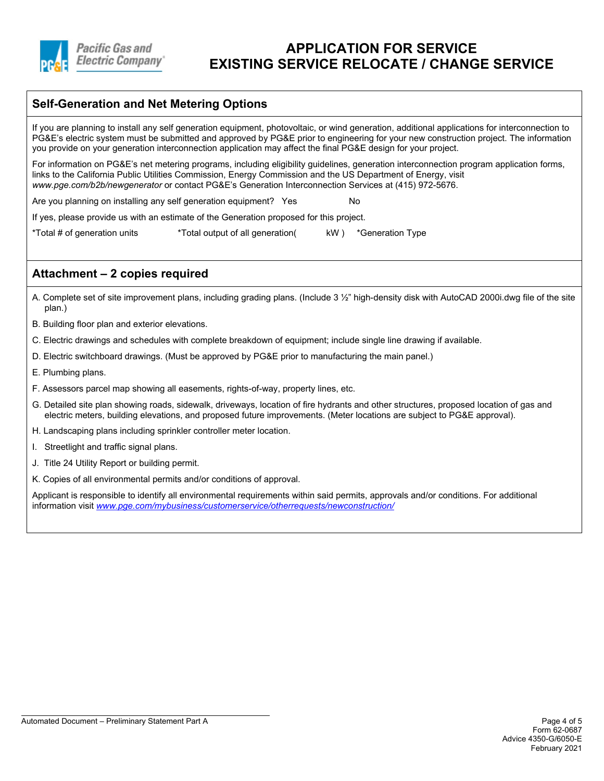

#### **Self-Generation and Net Metering Options**

If you are planning to install any self generation equipment, photovoltaic, or wind generation, additional applications for interconnection to PG&E's electric system must be submitted and approved by PG&E prior to engineering for your new construction project. The information you provide on your generation interconnection application may affect the final PG&E design for your project.

For information on PG&E's net metering programs, including eligibility guidelines, generation interconnection program application forms, links to the California Public Utilities Commission, Energy Commission and the US Department of Energy, visit *www.pge.com/b2b/newgenerator* or contact PG&E's Generation Interconnection Services at (415) 972-5676.

Are you planning on installing any self generation equipment? Yes

If yes, please provide us with an estimate of the Generation proposed for this project.

\*Total # of generation units \*Total output of all generation( kW ) \*Generation Type

#### **Attachment – 2 copies required**

- A. Complete set of site improvement plans, including grading plans. (Include 3 ½" high-density disk with AutoCAD 2000i.dwg file of the site plan.)
- B. Building floor plan and exterior elevations.
- C. Electric drawings and schedules with complete breakdown of equipment; include single line drawing if available.
- D. Electric switchboard drawings. (Must be approved by PG&E prior to manufacturing the main panel.)
- E. Plumbing plans.
- F. Assessors parcel map showing all easements, rights-of-way, property lines, etc.
- G. Detailed site plan showing roads, sidewalk, driveways, location of fire hydrants and other structures, proposed location of gas and electric meters, building elevations, and proposed future improvements. (Meter locations are subject to PG&E approval).
- H. Landscaping plans including sprinkler controller meter location.
- I. Streetlight and traffic signal plans.
- J. Title 24 Utility Report or building permit.
- K. Copies of all environmental permits and/or conditions of approval.

Applicant is responsible to identify all environmental requirements within said permits, approvals and/or conditions. For additional information visit *[www.pge.com/mybusiness/customerservice/otherrequests/newconstruction/](http://www.pge.com/mybusiness/customerservice/otherrequests/newconstruction/)*